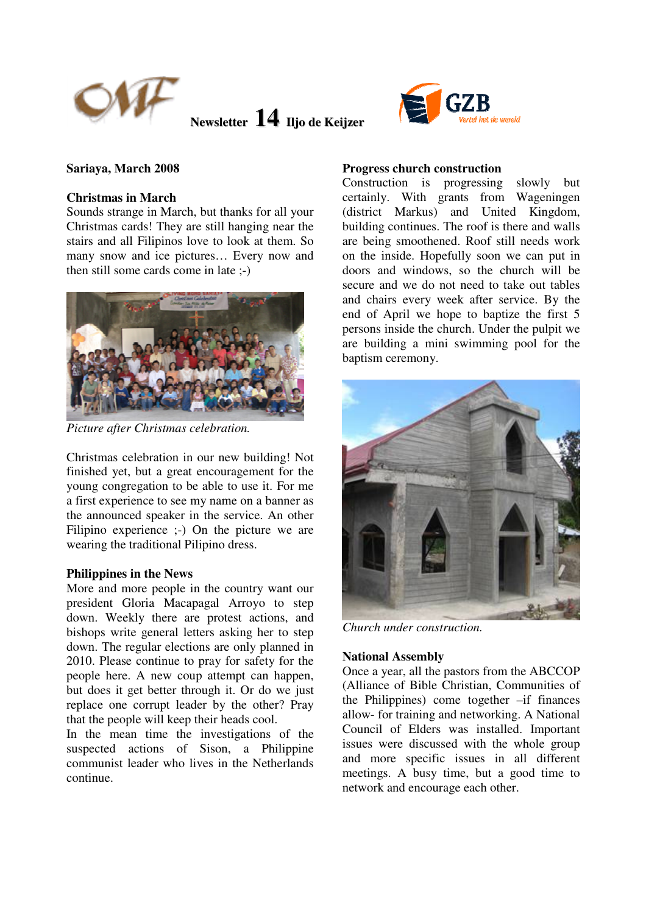



## **Christmas in March**

Sounds strange in March, but thanks for all your Christmas cards! They are still hanging near the stairs and all Filipinos love to look at them. So many snow and ice pictures… Every now and then still some cards come in late ;-)



*Picture after Christmas celebration.* 

Christmas celebration in our new building! Not finished yet, but a great encouragement for the young congregation to be able to use it. For me a first experience to see my name on a banner as the announced speaker in the service. An other Filipino experience :-) On the picture we are wearing the traditional Pilipino dress.

#### **Philippines in the News**

More and more people in the country want our president Gloria Macapagal Arroyo to step down. Weekly there are protest actions, and bishops write general letters asking her to step down. The regular elections are only planned in 2010. Please continue to pray for safety for the people here. A new coup attempt can happen, but does it get better through it. Or do we just replace one corrupt leader by the other? Pray that the people will keep their heads cool.

In the mean time the investigations of the suspected actions of Sison, a Philippine communist leader who lives in the Netherlands continue.

## **Progress church construction**

Construction is progressing slowly but certainly. With grants from Wageningen (district Markus) and United Kingdom, building continues. The roof is there and walls are being smoothened. Roof still needs work on the inside. Hopefully soon we can put in doors and windows, so the church will be secure and we do not need to take out tables and chairs every week after service. By the end of April we hope to baptize the first 5 persons inside the church. Under the pulpit we are building a mini swimming pool for the baptism ceremony.



*Church under construction.* 

## **National Assembly**

Once a year, all the pastors from the ABCCOP (Alliance of Bible Christian, Communities of the Philippines) come together –if finances allow- for training and networking. A National Council of Elders was installed. Important issues were discussed with the whole group and more specific issues in all different meetings. A busy time, but a good time to network and encourage each other.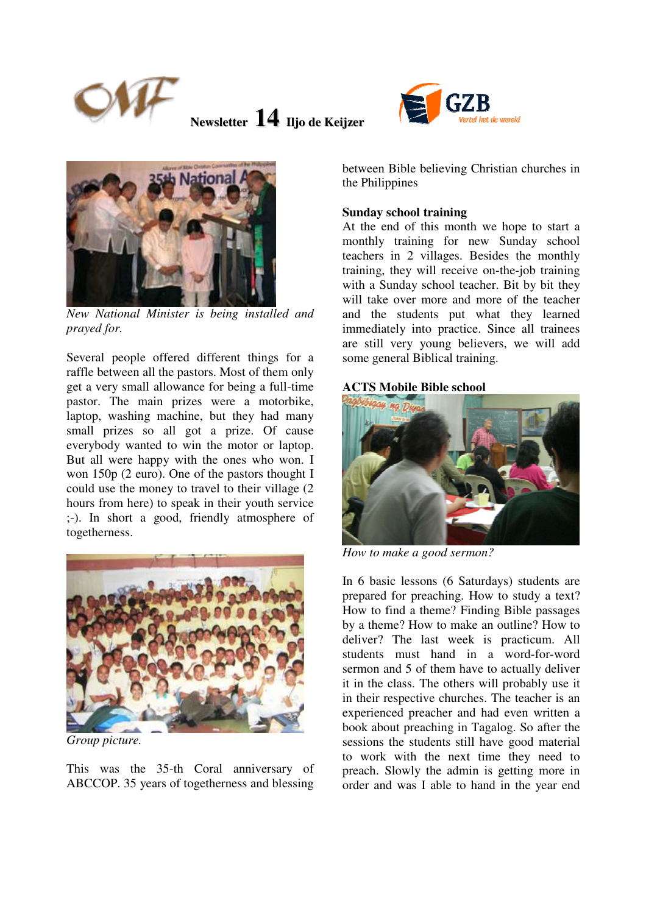





*New National Minister is being installed and prayed for.* 

Several people offered different things for a raffle between all the pastors. Most of them only get a very small allowance for being a full-time pastor. The main prizes were a motorbike, laptop, washing machine, but they had many small prizes so all got a prize. Of cause everybody wanted to win the motor or laptop. But all were happy with the ones who won. I won 150p (2 euro). One of the pastors thought I could use the money to travel to their village (2 hours from here) to speak in their youth service ;-). In short a good, friendly atmosphere of togetherness.



*Group picture.* 

This was the 35-th Coral anniversary of ABCCOP. 35 years of togetherness and blessing between Bible believing Christian churches in the Philippines

## **Sunday school training**

At the end of this month we hope to start a monthly training for new Sunday school teachers in 2 villages. Besides the monthly training, they will receive on-the-job training with a Sunday school teacher. Bit by bit they will take over more and more of the teacher and the students put what they learned immediately into practice. Since all trainees are still very young believers, we will add some general Biblical training.

# **ACTS Mobile Bible school**



*How to make a good sermon?* 

In 6 basic lessons (6 Saturdays) students are prepared for preaching. How to study a text? How to find a theme? Finding Bible passages by a theme? How to make an outline? How to deliver? The last week is practicum. All students must hand in a word-for-word sermon and 5 of them have to actually deliver it in the class. The others will probably use it in their respective churches. The teacher is an experienced preacher and had even written a book about preaching in Tagalog. So after the sessions the students still have good material to work with the next time they need to preach. Slowly the admin is getting more in order and was I able to hand in the year end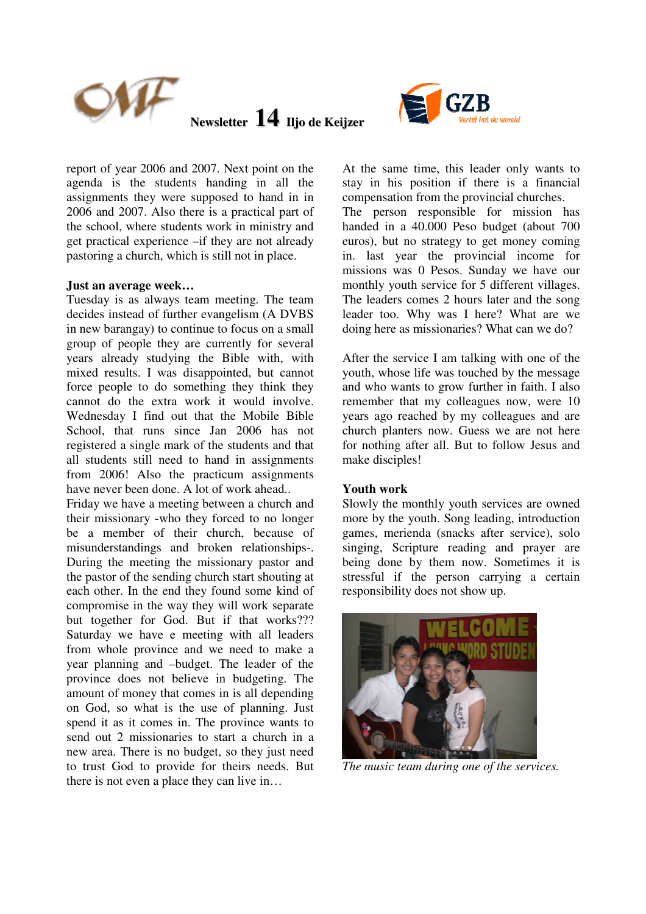



report of year 2006 and 2007. Next point on the agenda is the students handing in all the assignments they were supposed to hand in in 2006 and 2007. Also there is a practical part of the school, where students work in ministry and get practical experience –if they are not already pastoring a church, which is still not in place.

#### **Just an average week…**

Tuesday is as always team meeting. The team decides instead of further evangelism (A DVBS in new barangay) to continue to focus on a small group of people they are currently for several years already studying the Bible with, with mixed results. I was disappointed, but cannot force people to do something they think they cannot do the extra work it would involve. Wednesday I find out that the Mobile Bible School, that runs since Jan 2006 has not registered a single mark of the students and that all students still need to hand in assignments from 2006! Also the practicum assignments have never been done. A lot of work ahead..

Friday we have a meeting between a church and their missionary -who they forced to no longer be a member of their church, because of misunderstandings and broken relationships-. During the meeting the missionary pastor and the pastor of the sending church start shouting at each other. In the end they found some kind of compromise in the way they will work separate but together for God. But if that works??? Saturday we have e meeting with all leaders from whole province and we need to make a year planning and –budget. The leader of the province does not believe in budgeting. The amount of money that comes in is all depending on God, so what is the use of planning. Just spend it as it comes in. The province wants to send out 2 missionaries to start a church in a new area. There is no budget, so they just need to trust God to provide for theirs needs. But there is not even a place they can live in…

At the same time, this leader only wants to stay in his position if there is a financial compensation from the provincial churches. The person responsible for mission has handed in a 40.000 Peso budget (about 700 euros), but no strategy to get money coming in. last year the provincial income for missions was 0 Pesos. Sunday we have our monthly youth service for 5 different villages. The leaders comes 2 hours later and the song leader too. Why was I here? What are we doing here as missionaries? What can we do?

After the service I am talking with one of the youth, whose life was touched by the message and who wants to grow further in faith. I also remember that my colleagues now, were 10 years ago reached by my colleagues and are church planters now. Guess we are not here for nothing after all. But to follow Jesus and make disciples!

#### **Youth work**

Slowly the monthly youth services are owned more by the youth. Song leading, introduction games, merienda (snacks after service), solo singing, Scripture reading and prayer are being done by them now. Sometimes it is stressful if the person carrying a certain responsibility does not show up.



*The music team during one of the services.*